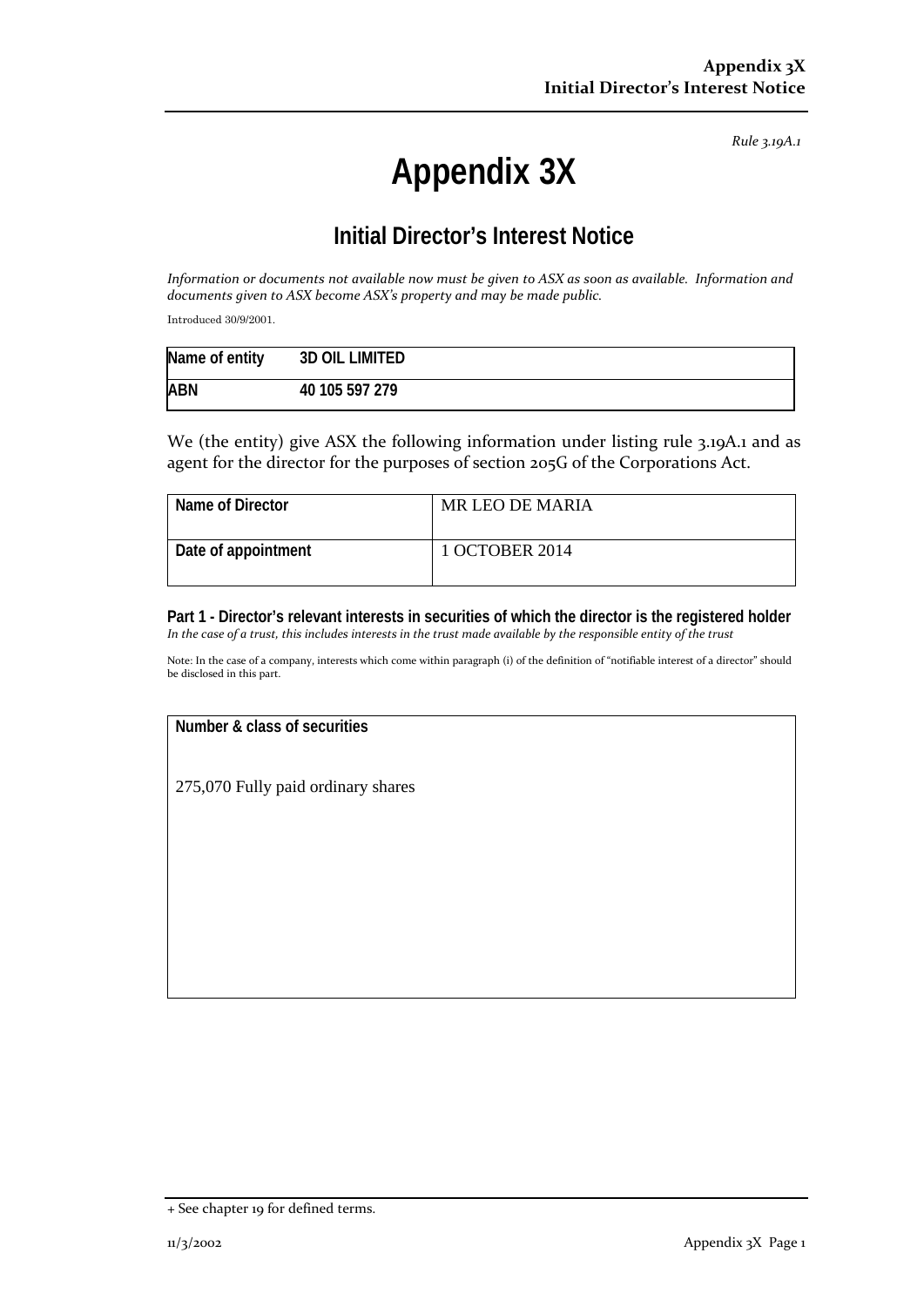*Rule 3.19A.1*

# **Appendix 3X**

## **Initial Director's Interest Notice**

*Information or documents not available now must be given to ASX as soon as available. Information and documents given to ASX become ASX's property and may be made public.*

Introduced 30/9/2001.

| Name of entity | <b>3D OIL LIMITED</b> |
|----------------|-----------------------|
| <b>ABN</b>     | 40 105 597 279        |

We (the entity) give ASX the following information under listing rule 3.19A.1 and as agent for the director for the purposes of section 205G of the Corporations Act.

| Name of Director    | MR LEO DE MARIA |
|---------------------|-----------------|
| Date of appointment | 1 OCTOBER 2014  |

**Part 1 - Director's relevant interests in securities of which the director is the registered holder** *In the case of a trust, this includes interests in the trust made available by the responsible entity of the trust*

Note: In the case of a company, interests which come within paragraph (i) of the definition of "notifiable interest of a director" should be disclosed in this part.

### **Number & class of securities**

275,070 Fully paid ordinary shares

<sup>+</sup> See chapter 19 for defined terms.